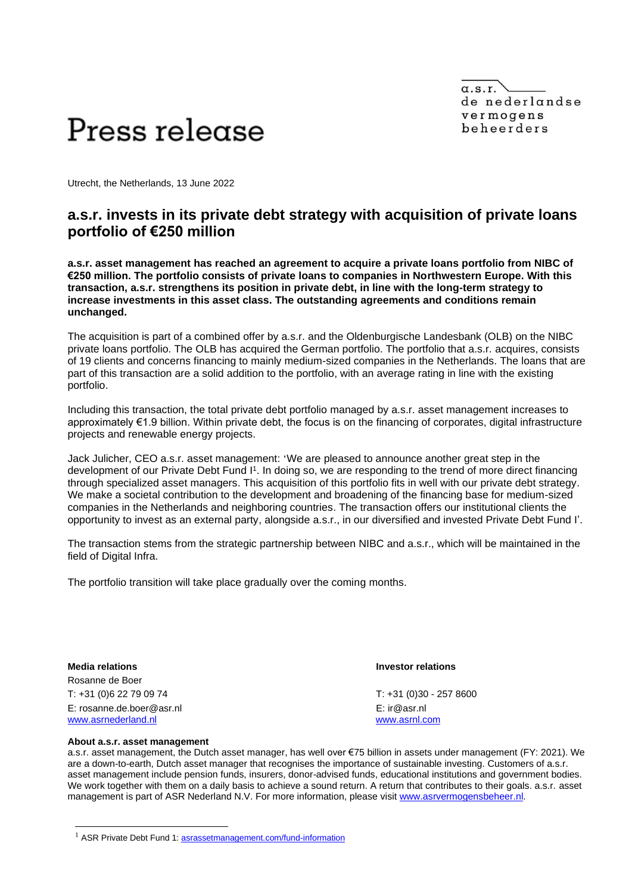$\alpha$ .s.r. de nederlandse vermogens beheerders



Utrecht, the Netherlands, 13 June 2022

## **a.s.r. invests in its private debt strategy with acquisition of private loans portfolio of €250 million**

**a.s.r. asset management has reached an agreement to acquire a private loans portfolio from NIBC of €250 million. The portfolio consists of private loans to companies in Northwestern Europe. With this transaction, a.s.r. strengthens its position in private debt, in line with the long-term strategy to increase investments in this asset class. The outstanding agreements and conditions remain unchanged.** 

The acquisition is part of a combined offer by a.s.r. and the Oldenburgische Landesbank (OLB) on the NIBC private loans portfolio. The OLB has acquired the German portfolio. The portfolio that a.s.r. acquires, consists of 19 clients and concerns financing to mainly medium-sized companies in the Netherlands. The loans that are part of this transaction are a solid addition to the portfolio, with an average rating in line with the existing portfolio.

Including this transaction, the total private debt portfolio managed by a.s.r. asset management increases to approximately €1.9 billion. Within private debt, the focus is on the financing of corporates, digital infrastructure projects and renewable energy projects.

Jack Julicher, CEO a.s.r. asset management: 'We are pleased to announce another great step in the development of our Private Debt Fund I<sup>1</sup>. In doing so, we are responding to the trend of more direct financing through specialized asset managers. This acquisition of this portfolio fits in well with our private debt strategy. We make a societal contribution to the development and broadening of the financing base for medium-sized companies in the Netherlands and neighboring countries. The transaction offers our institutional clients the opportunity to invest as an external party, alongside a.s.r., in our diversified and invested Private Debt Fund I'.

The transaction stems from the strategic partnership between NIBC and a.s.r., which will be maintained in the field of Digital Infra.

The portfolio transition will take place gradually over the coming months.

**Media relations Investor relations** Rosanne de Boer T: +31 (0)6 22 79 09 74 T: +31 (0)30 - 257 8600 E: rosanne.de.boer@asr.nl E: ir@asr.nl [www.asrnederland.nl](http://www.asrnederland.nl/) [www.asrnl.com](http://www.asrnl.com/)

## **About a.s.r. asset management**

a.s.r. asset management, the Dutch asset manager, has well over €75 billion in assets under management (FY: 2021). We are a down-to-earth, Dutch asset manager that recognises the importance of sustainable investing. Customers of a.s.r. asset management include pension funds, insurers, donor-advised funds, educational institutions and government bodies. We work together with them on a daily basis to achieve a sound return. A return that contributes to their goals. a.s.r. asset management is part of ASR Nederland N.V. For more information, please visit [www.asrvermogensbeheer.nl.](http://www.asrvermogensbeheer.nl/)

<sup>&</sup>lt;sup>1</sup> ASR Private Debt Fund 1: [asrassetmanagement.com/fund-information](https://asrassetmanagement.com/fund-information/fund-details-nl00150006h7)